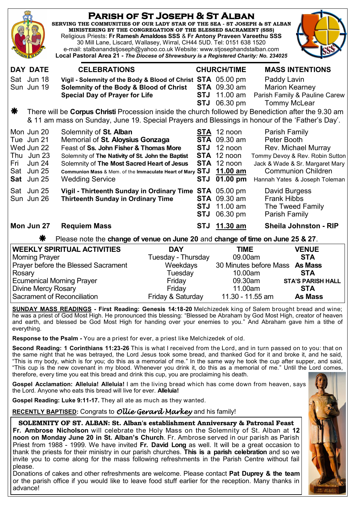| <b>PARISH OF ST JOSEPH &amp; ST ALBAN</b><br>SERVING THE COMMUNITIES OF OUR LADY STAR OF THE SEA - ST JOSEPH & ST ALBAN<br>MINISTERING BY THE CONGREGATION OF THE BLESSED SACRAMENT (SSS)<br>Religious Priests: Fr Ramesh Amaldoss SSS & Fr Antony Praveen Vareethu SSS<br>30 Mill Lane, Liscard, Wallasey, Wirral, CH44 5UD. Tel: 0151 638 1520<br>e-mail: stalbanandstjoseph@yahoo.co.uk Website: www.stjosephandstalban.com<br>Local Pastoral Area 21 - The Diocese of Shrewsbury is a Registered Charity: No. 234025 |                                                                                                                                                                                                                                                                                                                             |                                                                             |                                                                                                     |                                                                                                                                                                                                |
|--------------------------------------------------------------------------------------------------------------------------------------------------------------------------------------------------------------------------------------------------------------------------------------------------------------------------------------------------------------------------------------------------------------------------------------------------------------------------------------------------------------------------|-----------------------------------------------------------------------------------------------------------------------------------------------------------------------------------------------------------------------------------------------------------------------------------------------------------------------------|-----------------------------------------------------------------------------|-----------------------------------------------------------------------------------------------------|------------------------------------------------------------------------------------------------------------------------------------------------------------------------------------------------|
| <b>DAY DATE</b>                                                                                                                                                                                                                                                                                                                                                                                                                                                                                                          | <b>CELEBRATIONS</b>                                                                                                                                                                                                                                                                                                         |                                                                             | <b>CHURCH/TIME</b>                                                                                  | <b>MASS INTENTIONS</b>                                                                                                                                                                         |
| Sat Jun 18<br>Sun Jun 19                                                                                                                                                                                                                                                                                                                                                                                                                                                                                                 | Vigil - Solemnity of the Body & Blood of Christ STA 05.00 pm<br>Solemnity of the Body & Blood of Christ<br><b>Special Day of Prayer for Life</b>                                                                                                                                                                            |                                                                             | <b>STA</b> 09.30 am<br><b>STJ</b> 11.00 am<br><b>STJ</b> 06.30 pm                                   | Paddy Lavin<br><b>Marion Kearney</b><br>Parish Family & Pauline Carew<br><b>Tommy McLear</b>                                                                                                   |
| ₩<br>There will be Corpus Christi Procession inside the church followed by Benediction after the 9.30 am<br>& 11 am mass on Sunday, June 19. Special Prayers and Blessings in honour of the 'Father's Day'.                                                                                                                                                                                                                                                                                                              |                                                                                                                                                                                                                                                                                                                             |                                                                             |                                                                                                     |                                                                                                                                                                                                |
| Mon Jun 20<br>Tue Jun 21<br>Wed Jun 22<br>Thu Jun 23<br><b>Jun 24</b><br>Fri<br>Sat Jun 25<br>Sat Jun 25                                                                                                                                                                                                                                                                                                                                                                                                                 | Solemnity of St. Alban<br>Memorial of St. Aloysius Gonzaga<br>Feast of Ss. John Fisher & Thomas More<br><b>STJ</b><br>Solemnity of The Nativity of St. John the Baptist<br>Solemnity of The Most Sacred Heart of Jesus<br>Communion Mass & Mem. of the Immaculate Heart of Mary STJ<br><b>STJ</b><br><b>Wedding Service</b> |                                                                             | STA 12 noon<br><b>STA</b> 09.30 am<br>12 noon<br>STA 12 noon<br>STA 12 noon<br>11.00 am<br>01.00 pm | Parish Family<br>Peter Booth<br><b>Rev. Michael Murray</b><br>Tommy Devoy & Rev. Robin Sutton<br>Jack & Wade & Sr. Margaret Mary<br><b>Communion Children</b><br>Hannah Yates & Joseph Toleman |
| Sat Jun 25<br>Sun Jun 26                                                                                                                                                                                                                                                                                                                                                                                                                                                                                                 | Vigil - Thirteenth Sunday in Ordinary Time STA 05.00 pm<br><b>Thirteenth Sunday in Ordinary Time</b><br><b>STJ</b><br><b>STJ</b>                                                                                                                                                                                            |                                                                             | <b>STA</b> 09.30 am<br>11.00 am<br>06.30 pm                                                         | David Burgess<br><b>Frank Hibbs</b><br>The Tweed Family<br>Parish Family                                                                                                                       |
| Mon Jun 27                                                                                                                                                                                                                                                                                                                                                                                                                                                                                                               | <b>Requiem Mass</b>                                                                                                                                                                                                                                                                                                         | <b>STJ</b>                                                                  | 11.30 am                                                                                            | <b>Sheila Johnston - RIP</b>                                                                                                                                                                   |
| ⋇<br>Please note the change of venue on June 20 and change of time on June 25 & 27.                                                                                                                                                                                                                                                                                                                                                                                                                                      |                                                                                                                                                                                                                                                                                                                             |                                                                             |                                                                                                     |                                                                                                                                                                                                |
| <b>WEEKLY SPIRITUAL ACTIVITIES</b><br><b>Morning Prayer</b><br>Prayer before the Blessed Sacrament<br>Rosary<br><b>Ecumenical Morning Prayer</b><br><b>Divine Mercy Rosary</b><br>Sacrament of Reconciliation                                                                                                                                                                                                                                                                                                            |                                                                                                                                                                                                                                                                                                                             | <b>DAY</b><br>Tuesday - Thursday<br>Weekdays<br>Tuesday<br>Friday<br>Friday | <b>TIME</b><br>09.00am<br>10.00am<br>09.30am<br>11.00am                                             | <b>VENUE</b><br><b>STA</b><br>30 Minutes before Mass As Mass<br><b>STA</b><br><b>STA'S PARISH HALL</b><br><b>STA</b>                                                                           |
|                                                                                                                                                                                                                                                                                                                                                                                                                                                                                                                          |                                                                                                                                                                                                                                                                                                                             | Friday & Saturday                                                           | 11.30 - 11.55 am                                                                                    | <b>As Mass</b>                                                                                                                                                                                 |

**SUNDAY MASS READINGS - First Reading: Genesis 14:18-20** Melchizedek king of Salem brought bread and wine; he was a priest of God Most High. He pronounced this blessing: "Blessed be Abraham by God Most High, creator of heaven and earth, and blessed be God Most High for handing over your enemies to you." And Abraham gave him a tithe of everything.

**Response to the Psalm -** You are a priest for ever, a priest like Melchizedek of old.

**Second Reading: 1 Corinthians 11:23-26** This is what I received from the Lord, and in turn passed on to you: that on the same night that he was betrayed, the Lord Jesus took some bread, and thanked God for it and broke it, and he said, "This is my body, which is for you; do this as a memorial of me." In the same way he took the cup after supper, and said, "This cup is the new covenant in my blood. Whenever you drink it, do this as a memorial of me." Until the Lord comes, therefore, every time you eat this bread and drink this cup, you are proclaiming his death.

**Gospel Acclamation: Alleluia! Alleluia!** I am the living bread which has come down from heaven, says the Lord. Anyone who eats this bread will live for ever. **Alleluia!** 

**Gospel Reading: Luke 9:11-17.** They all ate as much as they wanted.

**RECENTLY BAPTISED:** Congrats to *Ollie Gerard Markey* and his family!

**SOLEMNITY OF ST. ALBAN: St. Alban's establishment Anniversary & Patronal Feast Fr. Ambrose Nicholson** will celebrate the Holy Mass on the Solemnity of St. Alban at **12 noon on Monday June 20 in St. Alban's Church**. Fr. Ambrose served in our parish as Parish Priest from 1988 - 1999. We have invited **Fr. David Long** as well. It will be a great occasion to thank the priests for their ministry in our parish churches. **This is a parish celebration** and so we invite you to come along for the mass following refreshments in the Parish Centre without fail please.

Donations of cakes and other refreshments are welcome. Please contact **Pat Duprey & the team** or the parish office if you would like to leave food stuff earlier for the reception. Many thanks in advance!